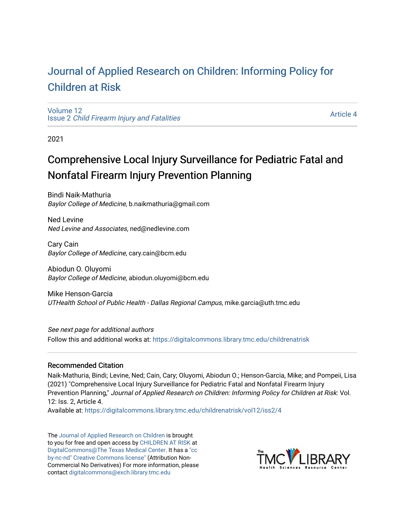## [Journal of Applied Research on Children: Informing Policy for](https://digitalcommons.library.tmc.edu/childrenatrisk) [Children at Risk](https://digitalcommons.library.tmc.edu/childrenatrisk)

[Volume 12](https://digitalcommons.library.tmc.edu/childrenatrisk/vol12) Issue 2 [Child Firearm Injury and Fatalities](https://digitalcommons.library.tmc.edu/childrenatrisk/vol12/iss2) 

[Article 4](https://digitalcommons.library.tmc.edu/childrenatrisk/vol12/iss2/4) 

2021

# Comprehensive Local Injury Surveillance for Pediatric Fatal and Nonfatal Firearm Injury Prevention Planning

Bindi Naik-Mathuria Baylor College of Medicine, b.naikmathuria@gmail.com

Ned Levine Ned Levine and Associates, ned@nedlevine.com

Cary Cain Baylor College of Medicine, cary.cain@bcm.edu

Abiodun O. Oluyomi Baylor College of Medicine, abiodun.oluyomi@bcm.edu

Mike Henson-Garcia UTHealth School of Public Health - Dallas Regional Campus, mike.garcia@uth.tmc.edu

See next page for additional authors Follow this and additional works at: [https://digitalcommons.library.tmc.edu/childrenatrisk](https://digitalcommons.library.tmc.edu/childrenatrisk?utm_source=digitalcommons.library.tmc.edu%2Fchildrenatrisk%2Fvol12%2Fiss2%2F4&utm_medium=PDF&utm_campaign=PDFCoverPages) 

### Recommended Citation

Naik-Mathuria, Bindi; Levine, Ned; Cain, Cary; Oluyomi, Abiodun O.; Henson-Garcia, Mike; and Pompeii, Lisa (2021) "Comprehensive Local Injury Surveillance for Pediatric Fatal and Nonfatal Firearm Injury Prevention Planning," Journal of Applied Research on Children: Informing Policy for Children at Risk: Vol. 12: Iss. 2, Article 4.

Available at: [https://digitalcommons.library.tmc.edu/childrenatrisk/vol12/iss2/4](https://digitalcommons.library.tmc.edu/childrenatrisk/vol12/iss2/4?utm_source=digitalcommons.library.tmc.edu%2Fchildrenatrisk%2Fvol12%2Fiss2%2F4&utm_medium=PDF&utm_campaign=PDFCoverPages) 

The [Journal of Applied Research on Children](http://digitalcommons.library.tmc.edu/childrenatrisk) is brought to you for free and open access by [CHILDREN AT RISK](http://childrenatrisk.org/) at [DigitalCommons@The Texas Medical Center](http://digitalcommons.library.tmc.edu/). It has a ["cc](http://creativecommons.org/licenses/by-nc-nd/3.0/)  [by-nc-nd" Creative Commons license"](http://creativecommons.org/licenses/by-nc-nd/3.0/) (Attribution Non-Commercial No Derivatives) For more information, please contact [digitalcommons@exch.library.tmc.edu](mailto:digitalcommons@exch.library.tmc.edu) 

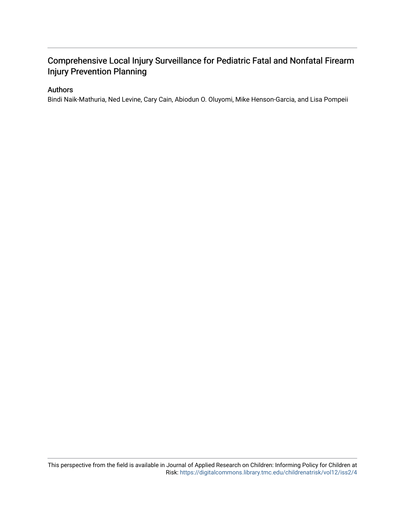## Comprehensive Local Injury Surveillance for Pediatric Fatal and Nonfatal Firearm Injury Prevention Planning

### Authors

Bindi Naik-Mathuria, Ned Levine, Cary Cain, Abiodun O. Oluyomi, Mike Henson-Garcia, and Lisa Pompeii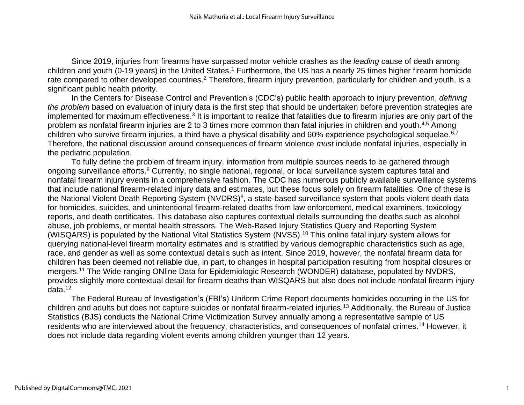Since 2019, injuries from firearms have surpassed motor vehicle crashes as the *leading* cause of death among children and youth (0-19 years) in the United States.<sup>1</sup> Furthermore, the US has a nearly 25 times higher firearm homicide rate compared to other developed countries.<sup>2</sup> Therefore, firearm injury prevention, particularly for children and youth, is a significant public health priority.

In the Centers for Disease Control and Prevention's (CDC's) public health approach to injury prevention, *defining the problem* based on evaluation of injury data is the first step that should be undertaken before prevention strategies are implemented for maximum effectiveness.<sup>3</sup> It is important to realize that fatalities due to firearm injuries are only part of the problem as nonfatal firearm injuries are 2 to 3 times more common than fatal injuries in children and youth.<sup>4,5</sup> Among children who survive firearm injuries, a third have a physical disability and 60% experience psychological sequelae.<sup>6,7</sup> Therefore, the national discussion around consequences of firearm violence *must* include nonfatal injuries, especially in the pediatric population.

To fully define the problem of firearm injury, information from multiple sources needs to be gathered through ongoing surveillance efforts.<sup>8</sup> Currently, no single national, regional, or local surveillance system captures fatal and nonfatal firearm injury events in a comprehensive fashion. The CDC has numerous publicly available surveillance systems that include national firearm-related injury data and estimates, but these focus solely on firearm fatalities. One of these is the National Violent Death Reporting System (NVDRS)<sup>9</sup>, a state-based surveillance system that pools violent death data for homicides, suicides, and unintentional firearm-related deaths from law enforcement, medical examiners, toxicology reports, and death certificates. This database also captures contextual details surrounding the deaths such as alcohol abuse, job problems, or mental health stressors. The Web-Based Injury Statistics Query and Reporting System (WISQARS) is populated by the National Vital Statistics System (NVSS). <sup>10</sup> This online fatal injury system allows for querying national-level firearm mortality estimates and is stratified by various demographic characteristics such as age, race, and gender as well as some contextual details such as intent. Since 2019, however, the nonfatal firearm data for children has been deemed not reliable due, in part, to changes in hospital participation resulting from hospital closures or mergers.<sup>11</sup> The Wide-ranging ONline Data for Epidemiologic Research (WONDER) database, populated by NVDRS, provides slightly more contextual detail for firearm deaths than WISQARS but also does not include nonfatal firearm injury data.<sup>12</sup>

The Federal Bureau of Investigation's (FBI's) Uniform Crime Report documents homicides occurring in the US for children and adults but does not capture suicides or nonfatal firearm-related injuries.<sup>13</sup> Additionally, the Bureau of Justice Statistics (BJS) conducts the National Crime Victimization Survey annually among a representative sample of US residents who are interviewed about the frequency, characteristics, and consequences of nonfatal crimes.<sup>14</sup> However, it does not include data regarding violent events among children younger than 12 years.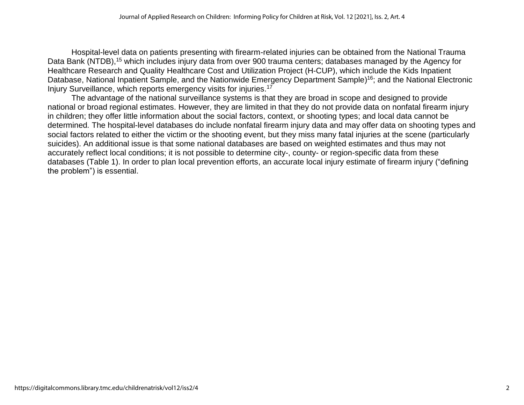Hospital-level data on patients presenting with firearm-related injuries can be obtained from the National Trauma Data Bank (NTDB),<sup>15</sup> which includes injury data from over 900 trauma centers; databases managed by the Agency for Healthcare Research and Quality Healthcare Cost and Utilization Project (H-CUP), which include the Kids Inpatient Database, National Inpatient Sample, and the Nationwide Emergency Department Sample)<sup>16</sup>; and the National Electronic Injury Surveillance, which reports emergency visits for injuries. 17

The advantage of the national surveillance systems is that they are broad in scope and designed to provide national or broad regional estimates. However, they are limited in that they do not provide data on nonfatal firearm injury in children; they offer little information about the social factors, context, or shooting types; and local data cannot be determined*.* The hospital-level databases do include nonfatal firearm injury data and may offer data on shooting types and social factors related to either the victim or the shooting event, but they miss many fatal injuries at the scene (particularly suicides). An additional issue is that some national databases are based on weighted estimates and thus may not accurately reflect local conditions; it is not possible to determine city-, county- or region-specific data from these databases (Table 1). In order to plan local prevention efforts, an accurate local injury estimate of firearm injury ("defining the problem") is essential.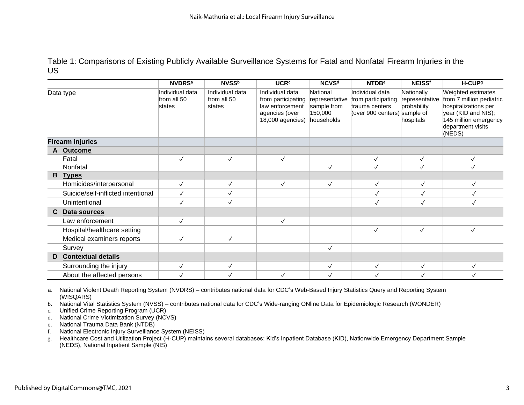Table 1: Comparisons of Existing Publicly Available Surveillance Systems for Fatal and Nonfatal Firearm Injuries in the US

|                         |                                    | <b>NVDRSa</b>                            | <b>NVSSb</b>                             | <b>UCR<sup>c</sup></b>                                                                         | <b>NCVSd</b>                                                       | <b>NTDB</b> <sup>e</sup>                                                                | <b>NEISS<sup>f</sup></b>                                 | H-CUP <sup>g</sup>                                                                                                                                    |
|-------------------------|------------------------------------|------------------------------------------|------------------------------------------|------------------------------------------------------------------------------------------------|--------------------------------------------------------------------|-----------------------------------------------------------------------------------------|----------------------------------------------------------|-------------------------------------------------------------------------------------------------------------------------------------------------------|
| Data type               |                                    | Individual data<br>from all 50<br>states | Individual data<br>from all 50<br>states | Individual data<br>from participating<br>law enforcement<br>agencies (over<br>18,000 agencies) | National<br>representative<br>sample from<br>150,000<br>households | Individual data<br>from participating<br>trauma centers<br>(over 900 centers) sample of | Nationally<br>representative<br>probability<br>hospitals | Weighted estimates<br>from 7 million pediatric<br>hospitalizations per<br>year (KID and NIS);<br>145 million emergency<br>department visits<br>(NEDS) |
| <b>Firearm injuries</b> |                                    |                                          |                                          |                                                                                                |                                                                    |                                                                                         |                                                          |                                                                                                                                                       |
|                         | A Outcome                          |                                          |                                          |                                                                                                |                                                                    |                                                                                         |                                                          |                                                                                                                                                       |
|                         | Fatal                              | $\checkmark$                             | $\checkmark$                             | $\checkmark$                                                                                   |                                                                    | $\checkmark$                                                                            | $\checkmark$                                             | $\checkmark$                                                                                                                                          |
|                         | Nonfatal                           |                                          |                                          |                                                                                                | $\checkmark$                                                       | $\checkmark$                                                                            | $\checkmark$                                             |                                                                                                                                                       |
| B                       | <b>Types</b>                       |                                          |                                          |                                                                                                |                                                                    |                                                                                         |                                                          |                                                                                                                                                       |
|                         | Homicides/interpersonal            | $\checkmark$                             | $\checkmark$                             | $\checkmark$                                                                                   | $\checkmark$                                                       | $\checkmark$                                                                            | $\checkmark$                                             |                                                                                                                                                       |
|                         | Suicide/self-inflicted intentional | $\checkmark$                             | $\checkmark$                             |                                                                                                |                                                                    | $\checkmark$                                                                            | $\checkmark$                                             | $\checkmark$                                                                                                                                          |
|                         | Unintentional                      | $\checkmark$                             | $\checkmark$                             |                                                                                                |                                                                    | $\checkmark$                                                                            | $\checkmark$                                             | $\checkmark$                                                                                                                                          |
| C.                      | Data sources                       |                                          |                                          |                                                                                                |                                                                    |                                                                                         |                                                          |                                                                                                                                                       |
|                         | Law enforcement                    | $\checkmark$                             |                                          | $\checkmark$                                                                                   |                                                                    |                                                                                         |                                                          |                                                                                                                                                       |
|                         | Hospital/healthcare setting        |                                          |                                          |                                                                                                |                                                                    | $\checkmark$                                                                            | $\checkmark$                                             | $\checkmark$                                                                                                                                          |
|                         | Medical examiners reports          | $\checkmark$                             | $\checkmark$                             |                                                                                                |                                                                    |                                                                                         |                                                          |                                                                                                                                                       |
|                         | Survey                             |                                          |                                          |                                                                                                | $\checkmark$                                                       |                                                                                         |                                                          |                                                                                                                                                       |
| D                       | <b>Contextual details</b>          |                                          |                                          |                                                                                                |                                                                    |                                                                                         |                                                          |                                                                                                                                                       |
|                         | Surrounding the injury             | $\checkmark$                             | $\checkmark$                             |                                                                                                | $\checkmark$                                                       | $\checkmark$                                                                            | $\checkmark$                                             | $\checkmark$                                                                                                                                          |
|                         | About the affected persons         |                                          |                                          | $\checkmark$                                                                                   | $\checkmark$                                                       |                                                                                         |                                                          |                                                                                                                                                       |

a. National Violent Death Reporting System (NVDRS) – contributes national data for CDC's Web-Based Injury Statistics Query and Reporting System (WISQARS)

b. National Vital Statistics System (NVSS) – contributes national data for CDC's Wide-ranging ONline Data for Epidemiologic Research (WONDER)

c. Unified Crime Reporting Program (UCR)

d. National Crime Victimization Survey (NCVS)

e. National Trauma Data Bank (NTDB)

f. National Electronic Injury Surveillance System (NEISS)

g. Healthcare Cost and Utilization Project (H-CUP) maintains several databases: Kid's Inpatient Database (KID), Nationwide Emergency Department Sample (NEDS), National Inpatient Sample (NIS)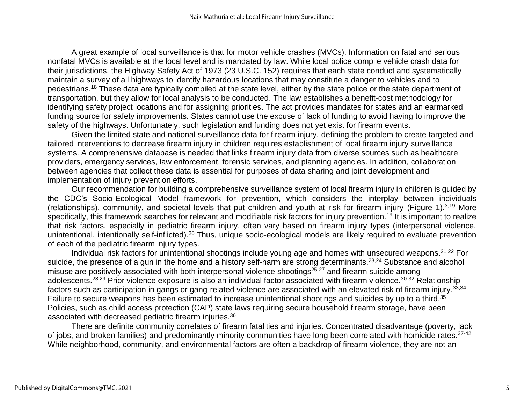A great example of local surveillance is that for motor vehicle crashes (MVCs). Information on fatal and serious nonfatal MVCs is available at the local level and is mandated by law. While local police compile vehicle crash data for their jurisdictions, the Highway Safety Act of 1973 (23 U.S.C. 152) requires that each state conduct and systematically maintain a survey of all highways to identify hazardous locations that may constitute a danger to vehicles and to pedestrians.<sup>18</sup> These data are typically compiled at the state level, either by the state police or the state department of transportation, but they allow for local analysis to be conducted. The law establishes a benefit-cost methodology for identifying safety project locations and for assigning priorities. The act provides mandates for states and an earmarked funding source for safety improvements. States cannot use the excuse of lack of funding to avoid having to improve the safety of the highways. Unfortunately, such legislation and funding does not yet exist for firearm events.

Given the limited state and national surveillance data for firearm injury, defining the problem to create targeted and tailored interventions to decrease firearm injury in children requires establishment of local firearm injury surveillance systems. A comprehensive database is needed that links firearm injury data from diverse sources such as healthcare providers, emergency services, law enforcement, forensic services, and planning agencies. In addition, collaboration between agencies that collect these data is essential for purposes of data sharing and joint development and implementation of injury prevention efforts.

Our recommendation for building a comprehensive surveillance system of local firearm injury in children is guided by the CDC's Socio-Ecological Model framework for prevention, which considers the interplay between individuals (relationships), community, and societal levels that put children and youth at risk for firearm injury (Figure 1). 3,19 More specifically, this framework searches for relevant and modifiable risk factors for injury prevention.<sup>19</sup> It is important to realize that risk factors, especially in pediatric firearm injury, often vary based on firearm injury types (interpersonal violence, unintentional, intentionally self-inflicted).<sup>20</sup> Thus, unique socio-ecological models are likely required to evaluate prevention of each of the pediatric firearm injury types.

Individual risk factors for unintentional shootings include young age and homes with unsecured weapons.<sup>21,22</sup> For suicide, the presence of a gun in the home and a history self-harm are strong determinants.<sup>23,24</sup> Substance and alcohol misuse are positively associated with both interpersonal violence shootings<sup>25-27</sup> and firearm suicide among adolescents.<sup>28,29</sup> Prior violence exposure is also an individual factor associated with firearm violence.<sup>30-32</sup> Relationship factors such as participation in gangs or gang-related violence are associated with an elevated risk of firearm injury. 33,34 Failure to secure weapons has been estimated to increase unintentional shootings and suicides by up to a third.<sup>35</sup> Policies, such as child access protection (CAP) state laws requiring secure household firearm storage, have been associated with decreased pediatric firearm injuries.<sup>36</sup>

There are definite community correlates of firearm fatalities and injuries. Concentrated disadvantage (poverty, lack of jobs, and broken families) and predominantly minority communities have long been correlated with homicide rates.<sup>37-42</sup> While neighborhood, community, and environmental factors are often a backdrop of firearm violence, they are not an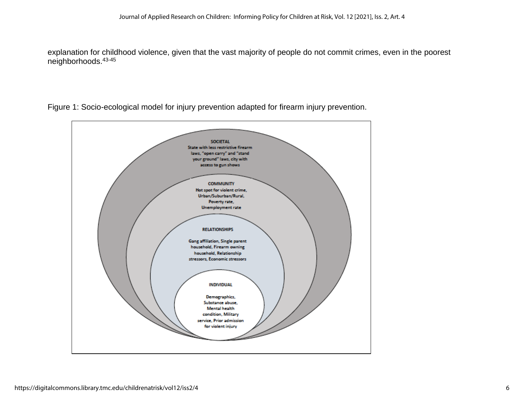explanation for childhood violence, given that the vast majority of people do not commit crimes, even in the poorest neighborhoods. 43-45



Figure 1: Socio-ecological model for injury prevention adapted for firearm injury prevention.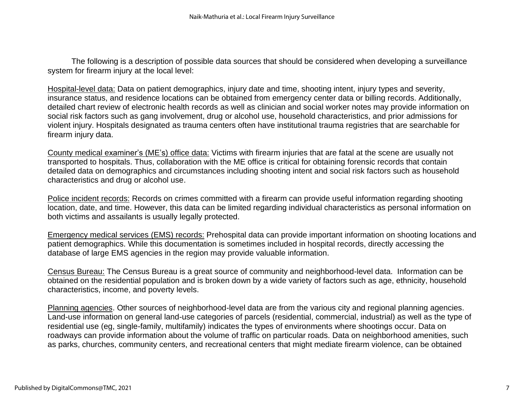The following is a description of possible data sources that should be considered when developing a surveillance system for firearm injury at the local level:

Hospital-level data: Data on patient demographics, injury date and time, shooting intent, injury types and severity, insurance status, and residence locations can be obtained from emergency center data or billing records. Additionally, detailed chart review of electronic health records as well as clinician and social worker notes may provide information on social risk factors such as gang involvement, drug or alcohol use, household characteristics, and prior admissions for violent injury. Hospitals designated as trauma centers often have institutional trauma registries that are searchable for firearm injury data.

County medical examiner's (ME's) office data: Victims with firearm injuries that are fatal at the scene are usually not transported to hospitals. Thus, collaboration with the ME office is critical for obtaining forensic records that contain detailed data on demographics and circumstances including shooting intent and social risk factors such as household characteristics and drug or alcohol use.

Police incident records: Records on crimes committed with a firearm can provide useful information regarding shooting location, date, and time. However, this data can be limited regarding individual characteristics as personal information on both victims and assailants is usually legally protected.

Emergency medical services (EMS) records: Prehospital data can provide important information on shooting locations and patient demographics. While this documentation is sometimes included in hospital records, directly accessing the database of large EMS agencies in the region may provide valuable information.

Census Bureau: The Census Bureau is a great source of community and neighborhood-level data. Information can be obtained on the residential population and is broken down by a wide variety of factors such as age, ethnicity, household characteristics, income, and poverty levels.

Planning agencies. Other sources of neighborhood-level data are from the various city and regional planning agencies. Land-use information on general land-use categories of parcels (residential, commercial, industrial) as well as the type of residential use (eg, single-family, multifamily) indicates the types of environments where shootings occur. Data on roadways can provide information about the volume of traffic on particular roads. Data on neighborhood amenities, such as parks, churches, community centers, and recreational centers that might mediate firearm violence, can be obtained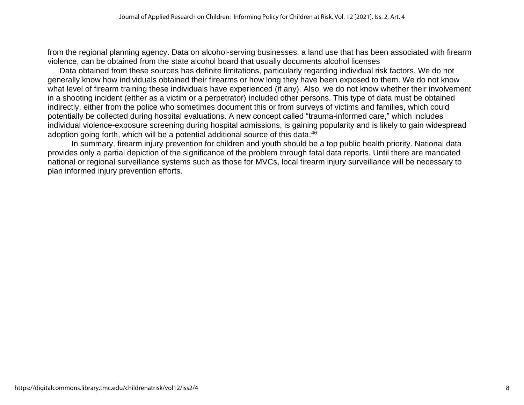from the regional planning agency. Data on alcohol-serving businesses, a land use that has been associated with firearm violence, can be obtained from the state alcohol board that usually documents alcohol licenses

Data obtained from these sources has definite limitations, particularly regarding individual risk factors. We do not generally know how individuals obtained their firearms or how long they have been exposed to them. We do not know what level of firearm training these individuals have experienced (if any). Also, we do not know whether their involvement in a shooting incident (either as a victim or a perpetrator) included other persons. This type of data must be obtained indirectly, either from the police who sometimes document this or from surveys of victims and families, which could potentially be collected during hospital evaluations. A new concept called "trauma-informed care," which includes individual violence-exposure screening during hospital admissions, is gaining popularity and is likely to gain widespread adoption going forth, which will be a potential additional source of this data.<sup>46</sup>

In summary, firearm injury prevention for children and youth should be a top public health priority. National data provides only a partial depiction of the significance of the problem through fatal data reports. Until there are mandated national or regional surveillance systems such as those for MVCs, local firearm injury surveillance will be necessary to plan informed injury prevention efforts.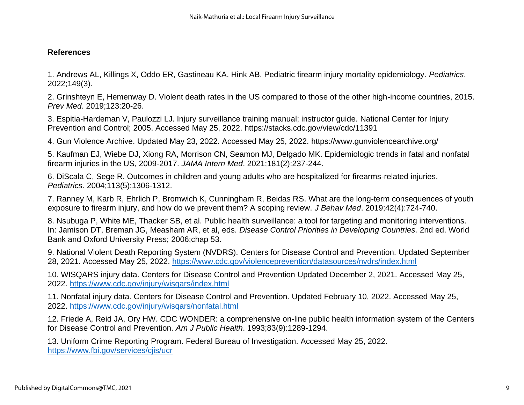## **References**

1. Andrews AL, Killings X, Oddo ER, Gastineau KA, Hink AB. Pediatric firearm injury mortality epidemiology. *Pediatrics*. 2022;149(3).

2. Grinshteyn E, Hemenway D. Violent death rates in the US compared to those of the other high-income countries, 2015. *Prev Med*. 2019;123:20-26.

3. Espitia-Hardeman V, Paulozzi LJ. Injury surveillance training manual; instructor guide. National Center for Injury Prevention and Control; 2005. Accessed May 25, 2022. https://stacks.cdc.gov/view/cdc/11391

4. Gun Violence Archive. Updated May 23, 2022. Accessed May 25, 2022. https://www.gunviolencearchive.org/

5. Kaufman EJ, Wiebe DJ, Xiong RA, Morrison CN, Seamon MJ, Delgado MK. Epidemiologic trends in fatal and nonfatal firearm injuries in the US, 2009-2017. *JAMA Intern Med*. 2021;181(2):237-244.

6. DiScala C, Sege R. Outcomes in children and young adults who are hospitalized for firearms-related injuries. *Pediatrics*. 2004;113(5):1306-1312.

7. Ranney M, Karb R, Ehrlich P, Bromwich K, Cunningham R, Beidas RS. What are the long-term consequences of youth exposure to firearm injury, and how do we prevent them? A scoping review. *J Behav Med*. 2019;42(4):724-740.

8. Nsubuga P, White ME, Thacker SB, et al. Public health surveillance: a tool for targeting and monitoring interventions. In: Jamison DT, Breman JG, Measham AR, et al, eds. *Disease Control Priorities in Developing Countries.* 2nd ed. World Bank and Oxford University Press; 2006;chap 53.

9. National Violent Death Reporting System (NVDRS). Centers for Disease Control and Prevention. Updated September 28, 2021. Accessed May 25, 2022. <https://www.cdc.gov/violenceprevention/datasources/nvdrs/index.html>

10. WISQARS injury data. Centers for Disease Control and Prevention Updated December 2, 2021. Accessed May 25, 2022. <https://www.cdc.gov/injury/wisqars/index.html>

11. Nonfatal injury data. Centers for Disease Control and Prevention. Updated February 10, 2022. Accessed May 25, 2022. <https://www.cdc.gov/injury/wisqars/nonfatal.html>

12. Friede A, Reid JA, Ory HW. CDC WONDER: a comprehensive on-line public health information system of the Centers for Disease Control and Prevention. *Am J Public Health*. 1993;83(9):1289-1294.

13. Uniform Crime Reporting Program. Federal Bureau of Investigation. Accessed May 25, 2022. <https://www.fbi.gov/services/cjis/ucr>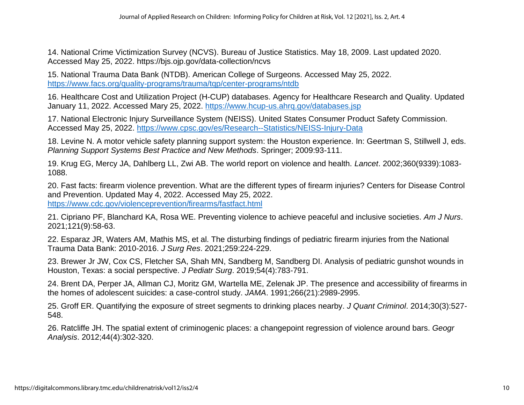14. National Crime Victimization Survey (NCVS). Bureau of Justice Statistics. May 18, 2009. Last updated 2020. Accessed May 25, 2022. https://bjs.ojp.gov/data-collection/ncvs

15. National Trauma Data Bank (NTDB). American College of Surgeons. Accessed May 25, 2022. <https://www.facs.org/quality-programs/trauma/tqp/center-programs/ntdb>

16. Healthcare Cost and Utilization Project (H-CUP) databases. Agency for Healthcare Research and Quality. Updated January 11, 2022. Accessed Mary 25, 2022. <https://www.hcup-us.ahrq.gov/databases.jsp>

17. National Electronic Injury Surveillance System (NEISS). United States Consumer Product Safety Commission. Accessed May 25, 2022. <https://www.cpsc.gov/es/Research--Statistics/NEISS-Injury-Data>

18. Levine N. A motor vehicle safety planning support system: the Houston experience. In: Geertman S, Stillwell J, eds. *Planning Support Systems Best Practice and New Methods*. Springer; 2009:93-111.

19. Krug EG, Mercy JA, Dahlberg LL, Zwi AB. The world report on violence and health. *Lancet*. 2002;360(9339):1083- 1088.

20. Fast facts: firearm violence prevention. What are the different types of firearm injuries? Centers for Disease Control and Prevention. Updated May 4, 2022. Accessed May 25, 2022. <https://www.cdc.gov/violenceprevention/firearms/fastfact.html>

21. Cipriano PF, Blanchard KA, Rosa WE. Preventing violence to achieve peaceful and inclusive societies. *Am J Nurs*. 2021;121(9):58-63.

22. Esparaz JR, Waters AM, Mathis MS, et al. The disturbing findings of pediatric firearm injuries from the National Trauma Data Bank: 2010-2016. *J Surg Res*. 2021;259:224-229.

23. Brewer Jr JW, Cox CS, Fletcher SA, Shah MN, Sandberg M, Sandberg DI. Analysis of pediatric gunshot wounds in Houston, Texas: a social perspective. *J Pediatr Surg*. 2019;54(4):783-791.

24. Brent DA, Perper JA, Allman CJ, Moritz GM, Wartella ME, Zelenak JP. The presence and accessibility of firearms in the homes of adolescent suicides: a case-control study. *JAMA*. 1991;266(21):2989-2995.

25. Groff ER. Quantifying the exposure of street segments to drinking places nearby. *J Quant Criminol*. 2014;30(3):527- 548.

26. Ratcliffe JH. The spatial extent of criminogenic places: a changepoint regression of violence around bars. *Geogr Analysis*. 2012;44(4):302-320.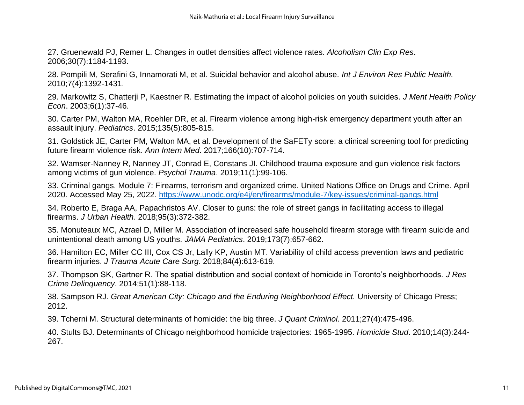27. Gruenewald PJ, Remer L. Changes in outlet densities affect violence rates. *Alcoholism Clin Exp Res*. 2006;30(7):1184-1193.

28. Pompili M, Serafini G, Innamorati M, et al. Suicidal behavior and alcohol abuse. *Int J Environ Res Public Health.* 2010;7(4):1392-1431.

29. Markowitz S, Chatterji P, Kaestner R. Estimating the impact of alcohol policies on youth suicides. *J Ment Health Policy Econ*. 2003;6(1):37-46.

30. Carter PM, Walton MA, Roehler DR, et al. Firearm violence among high-risk emergency department youth after an assault injury. *Pediatrics*. 2015;135(5):805-815.

31. Goldstick JE, Carter PM, Walton MA, et al. Development of the SaFETy score: a clinical screening tool for predicting future firearm violence risk. *Ann Intern Med*. 2017;166(10):707-714.

32. Wamser-Nanney R, Nanney JT, Conrad E, Constans JI. Childhood trauma exposure and gun violence risk factors among victims of gun violence. *Psychol Trauma*. 2019;11(1):99-106.

33. Criminal gangs. Module 7: Firearms, terrorism and organized crime. United Nations Office on Drugs and Crime. April 2020. Accessed May 25, 2022. <https://www.unodc.org/e4j/en/firearms/module-7/key-issues/criminal-gangs.html>

34. Roberto E, Braga AA, Papachristos AV. Closer to guns: the role of street gangs in facilitating access to illegal firearms. *J Urban Health*. 2018;95(3):372-382.

35. Monuteaux MC, Azrael D, Miller M. Association of increased safe household firearm storage with firearm suicide and unintentional death among US youths. *JAMA Pediatrics*. 2019;173(7):657-662.

36. Hamilton EC, Miller CC III, Cox CS Jr, Lally KP, Austin MT. Variability of child access prevention laws and pediatric firearm injuries. *J Trauma Acute Care Surg*. 2018;84(4):613-619.

37. Thompson SK, Gartner R. The spatial distribution and social context of homicide in Toronto's neighborhoods. *J Res Crime Delinquency*. 2014;51(1):88-118.

38. Sampson RJ. *Great American City: Chicago and the Enduring Neighborhood Effect.* University of Chicago Press; 2012.

39. Tcherni M. Structural determinants of homicide: the big three. *J Quant Criminol*. 2011;27(4):475-496.

40. Stults BJ. Determinants of Chicago neighborhood homicide trajectories: 1965-1995. *Homicide Stud*. 2010;14(3):244- 267.